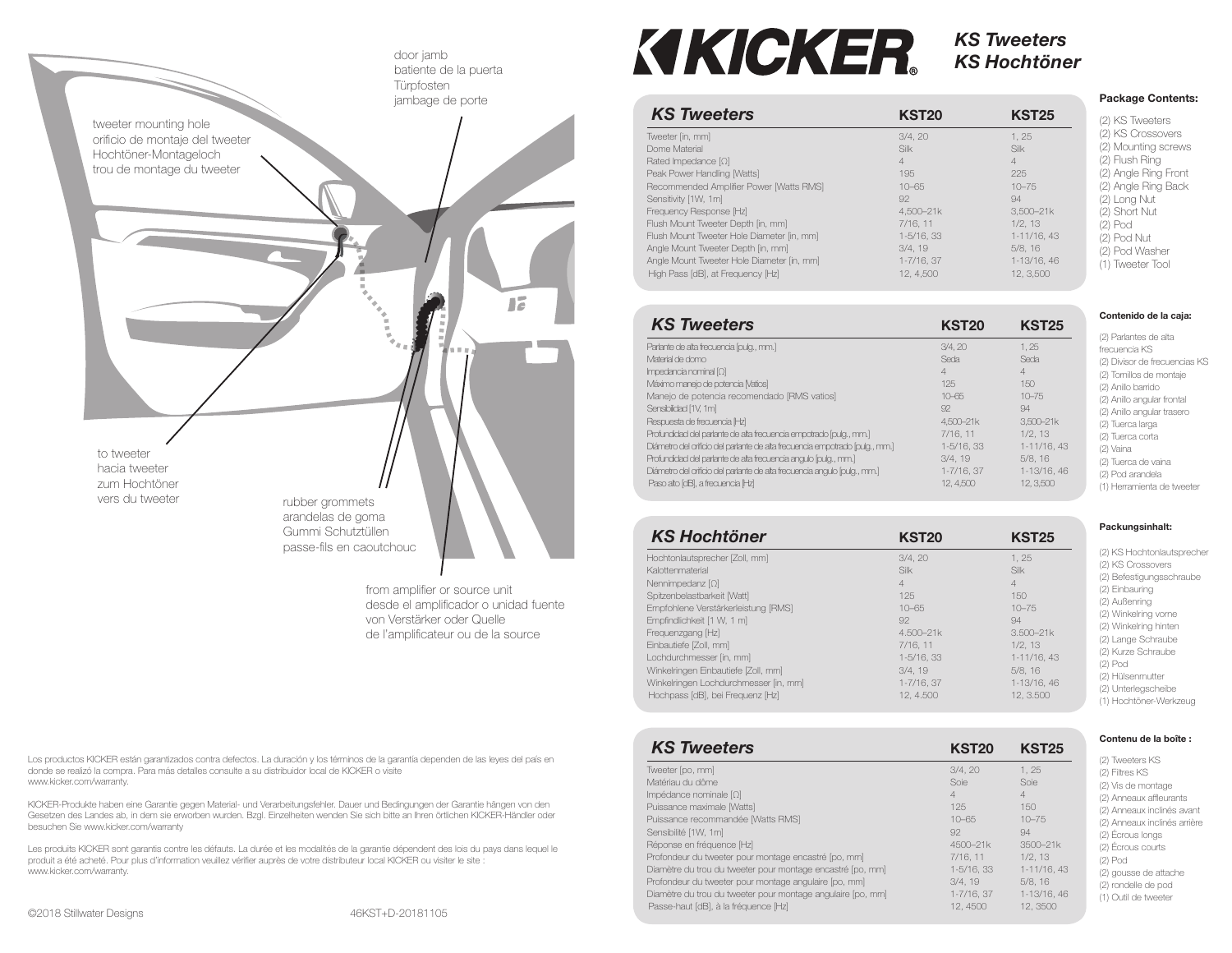

from amplifier or source unit desde el amplificador o unidad fuente von Verstärker oder Quellede l'amplificateur ou de la source

**KIKICKER.** 

# *KS TweetersKS Hochtöner*

|                                            |                 |                | <b>Package Contents:</b> |  |
|--------------------------------------------|-----------------|----------------|--------------------------|--|
| <b>KS Tweeters</b>                         | <b>KST20</b>    | <b>KST25</b>   | (2) KS Tweeters          |  |
| Tweeter [in, mm]                           | 3/4.20          | 1.25           | (2) KS Crossovers        |  |
| Dome Material                              | Silk            | Silk           | (2) Mounting screws      |  |
| Rated Impedance $[Q]$                      | 4               | $\overline{4}$ | (2) Flush Ring           |  |
| Peak Power Handling [Watts]                | 195             | 225            | (2) Angle Ring Front     |  |
| Recommended Amplifier Power [Watts RMS]    | $10 - 65$       | $10 - 75$      | (2) Angle Ring Back      |  |
| Sensitivity [1W, 1m]                       | 92              | 94             | (2) Long Nut             |  |
| Frequency Response [Hz]                    | 4.500-21k       | $3.500 - 21k$  | (2) Short Nut            |  |
| Flush Mount Tweeter Depth [in, mm]         | 7/16.11         | 1/2.13         | (2) Pod                  |  |
| Flush Mount Tweeter Hole Diameter [in, mm] | 1-5/16, 33      | 1-11/16, 43    | (2) Pod Nut              |  |
| Angle Mount Tweeter Depth [in, mm]         | 3/4.19          | 5/8.16         | (2) Pod Washer           |  |
| Angle Mount Tweeter Hole Diameter [in, mm] | $1 - 7/16$ , 37 | 1-13/16, 46    | (1) Tweeter Tool         |  |
| High Pass [dB], at Frequency [Hz]          | 12.4.500        | 12.3.500       |                          |  |

| <b>KS Tweeters</b>                                                            | <b>KST20</b> | <b>KST25</b> |
|-------------------------------------------------------------------------------|--------------|--------------|
| Parlante de alta frecuencia [pulg., mm.]                                      | 3/4.20       | 1.25         |
| Material de domo                                                              | Seda         | Seda         |
| $Imcedancia$ nominal $[Q]$                                                    | $\Delta$     | 4            |
| Máximo manejo de potencia [Vatios]                                            | 125          | 150          |
| Manejo de potencia recomendado [RMS vatios]                                   | $10 - 65$    | $10 - 75$    |
| Sensibilidad [1V, 1m]                                                         | 92           | $\Omega$     |
| Resouesta de frecuencia IHzI                                                  | 4.500-21k    | 3.500-21k    |
| Profundidad del parlante de alta frecuencia empotrado [pulg., mm.]            | 7/16.11      | 1/2.13       |
| Diámetro del orificio del parlante de alta frecuencia empotrado lipulo,, mm.1 | 1-5/16, 33   | 1-11/16, 43  |
| Profundidad del parlante de alta frecuencia angulo [pulg., mm.]               | 3/4.19       | 5/8.16       |
| Diámetro del orificio del parlante de alta frecuencia angulo [pulg., mm.]     | 1-7/16, 37   | 1-13/16, 46  |
| Paso alto [dB], a frecuencia [Hz]                                             | 12, 4,500    | 12, 3,500    |

| <b>KS Hochtöner</b>                   | <b>KST20</b>    | <b>KST25</b>   |
|---------------------------------------|-----------------|----------------|
| Hochtonlautsprecher [Zoll, mm]        | 3/4.20          | 1.25           |
| Kalottenmaterial                      | Silk            | Silk           |
| Nennimpedanz $[\Omega]$               | $\overline{4}$  | $\overline{4}$ |
| Spitzenbelastbarkeit IWattl           | 125             | 150            |
| Empfohlene Verstärkerleistung [RMS]   | $10 - 65$       | $10 - 75$      |
| Empfindlichkeit [1 W, 1 m]            | 92              | 94             |
| Frequenzgang [Hz]                     | 4.500-21k       | $3.500 - 21k$  |
| Einbautiefe [Zoll, mm]                | 7/16.11         | 1/2, 13        |
| Lochdurchmesser [in, mm]              | $1 - 5/16$ , 33 | 1-11/16, 43    |
| Winkelringen Einbautiefe [Zoll, mm]   | 3/4.19          | 5/8.16         |
| Winkelringen Lochdurchmesser [in, mm] | $1 - 7/16.37$   | 1-13/16, 46    |
| Hochpass [dB], bei Frequenz [Hz]      | 12.4.500        | 12.3.500       |

| <b>KS Tweeters</b>                                          | <b>KST20</b>  | <b>KST25</b>   |
|-------------------------------------------------------------|---------------|----------------|
| Tweeter [po, mm]                                            | 3/4.20        | 1.25           |
| Matériau du dôme                                            | Soie          | Soie           |
| Impédance nominale $[\Omega]$                               | 4             | $\overline{4}$ |
| Puissance maximale [Watts]                                  | 125           | 150            |
| Puissance recommandée [Watts RMS]                           | $10 - 65$     | $10 - 75$      |
| Sensibilité [1W, 1m]                                        | 92            | 94             |
| Réponse en fréquence [Hz]                                   | 4500-21k      | 3500-21k       |
| Profondeur du tweeter pour montage encastré [po, mm]        | 7/16.11       | 1/2.13         |
| Diamètre du trou du tweeter pour montage encastré [po, mm]  | 1-5/16, 33    | 1-11/16, 43    |
| Profondeur du tweeter pour montage angulaire [po, mm]       | 3/4.19        | 5/8.16         |
| Diamètre du trou du tweeter pour montage angulaire [po, mm] | $1 - 7/16.37$ | 1-13/16, 46    |
| Passe-haut [dB], à la fréquence [Hz]                        | 12, 4500      | 12.3500        |

### **Packungsinhalt:**

**Contenido de la caja:** (2) Parlantes de alta frecuencia KS (2) Divisor de frecuencias KS (2) Tornillos de montaje (2) Anillo barrido (2) Anillo angular frontal (2) Anillo angular trasero (2) Tuerca larga (2) Tuerca corta (2) Vaina (2) Tuerca de vaina (2) Pod arandela (1) Herramienta de tweeter

(2) KS Hochtonlautsprecher (2) KS Crossovers (2) Befestigungsschraube (2) Einbauring (2) Außenring (2) Winkelring vorne (2) Winkelring hinten (2) Lange Schraube (2) Kurze Schraube (2) Pod (2) Hülsenmutter (2) Unterlegscheibe (1) Hochtöner-Werkzeug

### **Contenu de la boîte :**

(2) Tweeters KS (2) Filtres KS (2) Vis de montage (2) Anneaux affleurants (2) Anneaux inclinés avant (2) Anneaux inclinés arrière (2) Écrous longs (2) Écrous courts (2) Pod (2) gousse de attache (2) rondelle de pod (1) Outil de tweeter

Los productos KICKER están garantizados contra defectos. La duración y los términos de la garantía dependen de las leyes del país en donde se realizó la compra. Para más detalles consulte a su distribuidor local de KICKER o visite www.kicker.com/warranty.

KICKER-Produkte haben eine Garantie gegen Material- und Verarbeitungsfehler. Dauer und Bedingungen der Garantie hängen von den Gesetzen des Landes ab, in dem sie erworben wurden. Bzgl. Einzelheiten wenden Sie sich bitte an Ihren örtlichen KICKER-Händler oder besuchen Sie www.kicker.com/warranty

Les produits KICKER sont garantis contre les défauts. La durée et les modalités de la garantie dépendent des lois du pays dans lequel le produit a été acheté. Pour plus d'information veuillez vérifier auprès de votre distributeur local KICKER ou visiter le site : www.kicker.com/warranty.